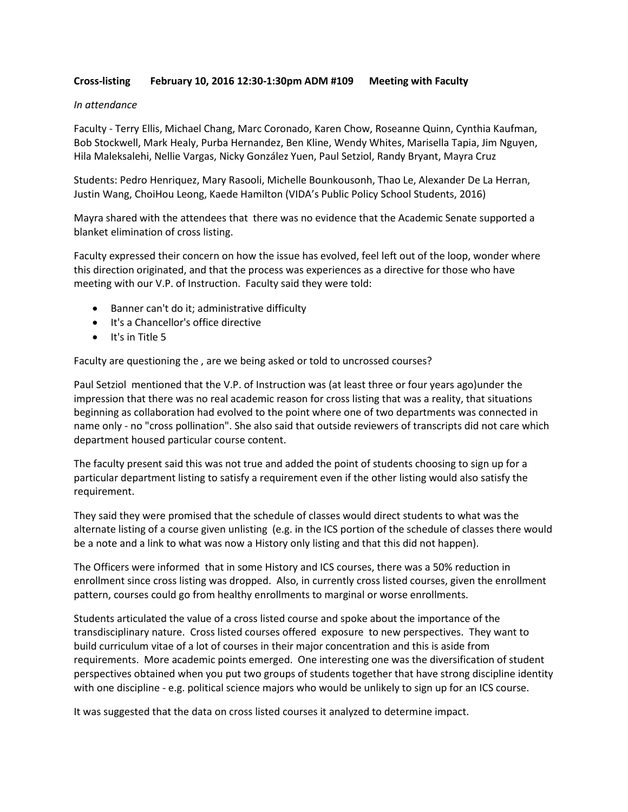## **Cross-listing February 10, 2016 12:30-1:30pm ADM #109 Meeting with Faculty**

#### *In attendance*

Faculty - Terry Ellis, Michael Chang, Marc Coronado, Karen Chow, Roseanne Quinn, Cynthia Kaufman, Bob Stockwell, Mark Healy, Purba Hernandez, Ben Kline, Wendy Whites, Marisella Tapia, Jim Nguyen, Hila Maleksalehi, Nellie Vargas, Nicky González Yuen, Paul Setziol, Randy Bryant, Mayra Cruz

Students: Pedro Henriquez, Mary Rasooli, Michelle Bounkousonh, Thao Le, Alexander De La Herran, Justin Wang, ChoiHou Leong, Kaede Hamilton (VIDA's Public Policy School Students, 2016)

Mayra shared with the attendees that there was no evidence that the Academic Senate supported a blanket elimination of cross listing.

Faculty expressed their concern on how the issue has evolved, feel left out of the loop, wonder where this direction originated, and that the process was experiences as a directive for those who have meeting with our V.P. of Instruction. Faculty said they were told:

- Banner can't do it; administrative difficulty
- It's a Chancellor's office directive
- $\bullet$  It's in Title 5

Faculty are questioning the , are we being asked or told to uncrossed courses?

Paul Setziol mentioned that the V.P. of Instruction was (at least three or four years ago)under the impression that there was no real academic reason for cross listing that was a reality, that situations beginning as collaboration had evolved to the point where one of two departments was connected in name only - no "cross pollination". She also said that outside reviewers of transcripts did not care which department housed particular course content.

The faculty present said this was not true and added the point of students choosing to sign up for a particular department listing to satisfy a requirement even if the other listing would also satisfy the requirement.

They said they were promised that the schedule of classes would direct students to what was the alternate listing of a course given unlisting (e.g. in the ICS portion of the schedule of classes there would be a note and a link to what was now a History only listing and that this did not happen).

The Officers were informed that in some History and ICS courses, there was a 50% reduction in enrollment since cross listing was dropped. Also, in currently cross listed courses, given the enrollment pattern, courses could go from healthy enrollments to marginal or worse enrollments.

Students articulated the value of a cross listed course and spoke about the importance of the transdisciplinary nature. Cross listed courses offered exposure to new perspectives. They want to build curriculum vitae of a lot of courses in their major concentration and this is aside from requirements. More academic points emerged. One interesting one was the diversification of student perspectives obtained when you put two groups of students together that have strong discipline identity with one discipline - e.g. political science majors who would be unlikely to sign up for an ICS course.

It was suggested that the data on cross listed courses it analyzed to determine impact.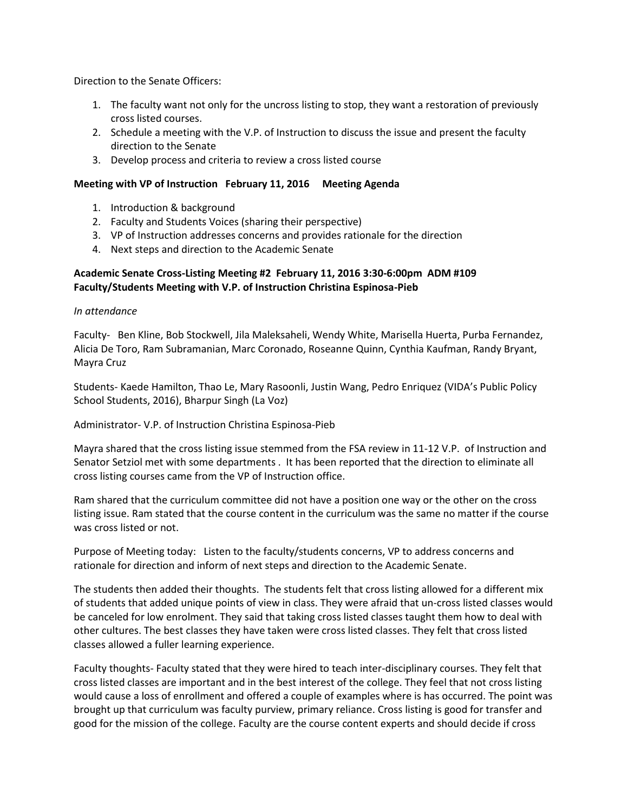Direction to the Senate Officers:

- 1. The faculty want not only for the uncross listing to stop, they want a restoration of previously cross listed courses.
- 2. Schedule a meeting with the V.P. of Instruction to discuss the issue and present the faculty direction to the Senate
- 3. Develop process and criteria to review a cross listed course

## **Meeting with VP of Instruction February 11, 2016 Meeting Agenda**

- 1. Introduction & background
- 2. Faculty and Students Voices (sharing their perspective)
- 3. VP of Instruction addresses concerns and provides rationale for the direction
- 4. Next steps and direction to the Academic Senate

# **Academic Senate Cross-Listing Meeting #2 February 11, 2016 3:30-6:00pm ADM #109 Faculty/Students Meeting with V.P. of Instruction Christina Espinosa-Pieb**

#### *In attendance*

Faculty- Ben Kline, Bob Stockwell, Jila Maleksaheli, Wendy White, Marisella Huerta, Purba Fernandez, Alicia De Toro, Ram Subramanian, Marc Coronado, Roseanne Quinn, Cynthia Kaufman, Randy Bryant, Mayra Cruz

Students- Kaede Hamilton, Thao Le, Mary Rasoonli, Justin Wang, Pedro Enriquez (VIDA's Public Policy School Students, 2016), Bharpur Singh (La Voz)

Administrator- V.P. of Instruction Christina Espinosa-Pieb

Mayra shared that the cross listing issue stemmed from the FSA review in 11-12 V.P. of Instruction and Senator Setziol met with some departments . It has been reported that the direction to eliminate all cross listing courses came from the VP of Instruction office.

Ram shared that the curriculum committee did not have a position one way or the other on the cross listing issue. Ram stated that the course content in the curriculum was the same no matter if the course was cross listed or not.

Purpose of Meeting today: Listen to the faculty/students concerns, VP to address concerns and rationale for direction and inform of next steps and direction to the Academic Senate.

The students then added their thoughts. The students felt that cross listing allowed for a different mix of students that added unique points of view in class. They were afraid that un-cross listed classes would be canceled for low enrolment. They said that taking cross listed classes taught them how to deal with other cultures. The best classes they have taken were cross listed classes. They felt that cross listed classes allowed a fuller learning experience.

Faculty thoughts- Faculty stated that they were hired to teach inter-disciplinary courses. They felt that cross listed classes are important and in the best interest of the college. They feel that not cross listing would cause a loss of enrollment and offered a couple of examples where is has occurred. The point was brought up that curriculum was faculty purview, primary reliance. Cross listing is good for transfer and good for the mission of the college. Faculty are the course content experts and should decide if cross